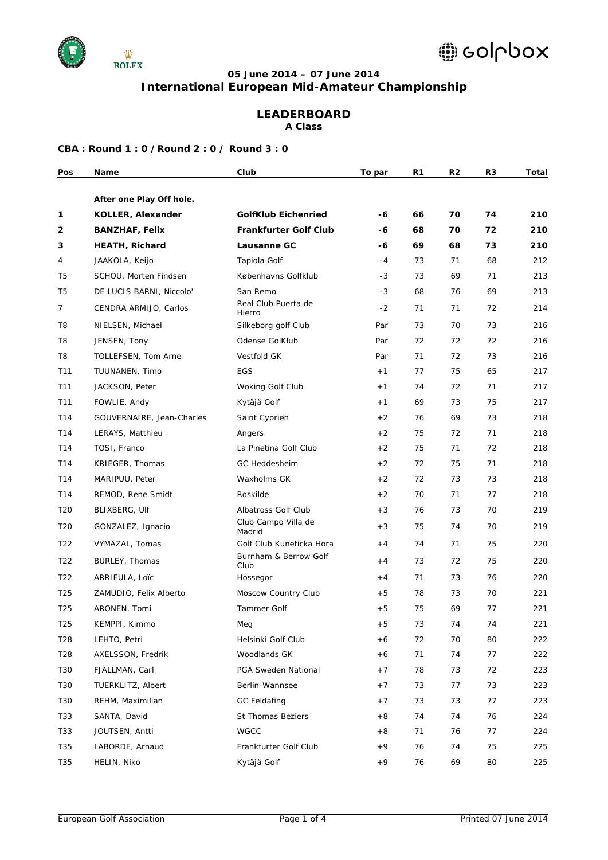

### **05 June 2014 – 07 June 2014 International European Mid-Amateur Championship**

### **LEADERBOARD**

**A Class**

| Pos             | Name                      | Club                          | To par | R1 | R <sub>2</sub> | R <sub>3</sub> | <b>Total</b> |
|-----------------|---------------------------|-------------------------------|--------|----|----------------|----------------|--------------|
|                 | After one Play Off hole.  |                               |        |    |                |                |              |
| 1               | <b>KOLLER, Alexander</b>  | <b>GolfKlub Eichenried</b>    | -6     | 66 | 70             | 74             | 210          |
| 2               | <b>BANZHAF, Felix</b>     | <b>Frankfurter Golf Club</b>  | -6     | 68 | 70             | 72             | 210          |
| 3               | <b>HEATH, Richard</b>     | Lausanne GC                   | -6     | 69 | 68             | 73             | 210          |
| 4               | JAAKOLA, Keijo            | Tapiola Golf                  | $-4$   | 73 | 71             | 68             | 212          |
| T5              | SCHOU, Morten Findsen     | Københavns Golfklub           | $-3$   | 73 | 69             | 71             | 213          |
| T5              | DE LUCIS BARNI, Niccolo'  | San Remo                      | $-3$   | 68 | 76             | 69             | 213          |
| $\overline{7}$  | CENDRA ARMIJO, Carlos     | Real Club Puerta de<br>Hierro | $-2$   | 71 | 71             | 72             | 214          |
| T <sub>8</sub>  | NIELSEN, Michael          | Silkeborg golf Club           | Par    | 73 | 70             | 73             | 216          |
| T <sub>8</sub>  | JENSEN, Tony              | Odense GolKlub                | Par    | 72 | 72             | 72             | 216          |
| T8              | TOLLEFSEN, Tom Arne       | Vestfold GK                   | Par    | 71 | 72             | 73             | 216          |
| T <sub>11</sub> | TUUNANEN, Timo            | EGS                           | $+1$   | 77 | 75             | 65             | 217          |
| T11             | JACKSON, Peter            | Woking Golf Club              | $+1$   | 74 | 72             | 71             | 217          |
| T11             | FOWLIE, Andy              | Kytäjä Golf                   | $+1$   | 69 | 73             | 75             | 217          |
| T14             | GOUVERNAIRE, Jean-Charles | Saint Cyprien                 | $+2$   | 76 | 69             | 73             | 218          |
| T14             | LERAYS, Matthieu          | Angers                        | $+2$   | 75 | 72             | 71             | 218          |
| T14             | TOSI, Franco              | La Pinetina Golf Club         | $+2$   | 75 | 71             | 72             | 218          |
| T14             | KRIEGER, Thomas           | GC Heddesheim                 | $+2$   | 72 | 75             | 71             | 218          |
| T14             | MARIPUU, Peter            | Waxholms GK                   | $+2$   | 72 | 73             | 73             | 218          |
| T14             | REMOD, Rene Smidt         | Roskilde                      | $+2$   | 70 | 71             | 77             | 218          |
| T <sub>20</sub> | BLIXBERG, Ulf             | Albatross Golf Club           | $+3$   | 76 | 73             | 70             | 219          |
| T <sub>20</sub> | GONZALEZ, Ignacio         | Club Campo Villa de<br>Madrid | $+3$   | 75 | 74             | 70             | 219          |
| T <sub>22</sub> | VYMAZAL, Tomas            | Golf Club Kuneticka Hora      | $+4$   | 74 | 71             | 75             | 220          |
| T <sub>22</sub> | BURLEY, Thomas            | Burnham & Berrow Golf<br>Club | $+4$   | 73 | 72             | 75             | 220          |
| T <sub>22</sub> | ARRIEULA, Loïc            | Hossegor                      | $+4$   | 71 | 73             | 76             | 220          |
| T <sub>25</sub> | ZAMUDIO, Felix Alberto    | Moscow Country Club           | $+5$   | 78 | 73             | 70             | 221          |
| T <sub>25</sub> | ARONEN, Tomi              | <b>Tammer Golf</b>            | $+5$   | 75 | 69             | 77             | 221          |
| T <sub>25</sub> | KEMPPI, Kimmo             | Meg                           | $+5$   | 73 | 74             | 74             | 221          |
| T28             | LEHTO, Petri              | Helsinki Golf Club            | $+6$   | 72 | 70             | 80             | 222          |
| T28             | AXELSSON, Fredrik         | Woodlands GK                  | $+6$   | 71 | 74             | 77             | 222          |
| T30             | FJÄLLMAN, Carl            | PGA Sweden National           | $+7$   | 78 | 73             | 72             | 223          |
| T30             | TUERKLITZ, Albert         | Berlin-Wannsee                | $+7$   | 73 | 77             | 73             | 223          |
| T30             | REHM, Maximilian          | <b>GC Feldafing</b>           | $+7$   | 73 | 73             | 77             | 223          |
| T33             | SANTA, David              | St Thomas Beziers             | $+8$   | 74 | 74             | 76             | 224          |
| T33             | JOUTSEN, Antti            | WGCC                          | $+8$   | 71 | 76             | 77             | 224          |
| T35             | LABORDE, Arnaud           | Frankfurter Golf Club         | $+9$   | 76 | 74             | 75             | 225          |
| T35             | HELIN, Niko               | Kytäjä Golf                   | $+9$   | 76 | 69             | 80             | 225          |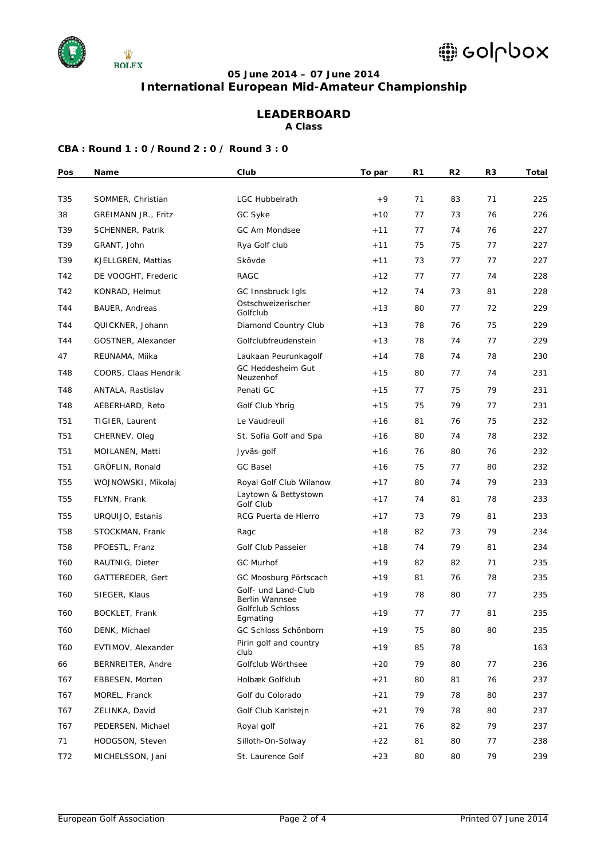

# **05 June 2014 – 07 June 2014**

**International European Mid-Amateur Championship**

# **LEADERBOARD**

**A Class**

| Pos             | Name                    | Club                                             | To par | R1 | R <sub>2</sub> | R <sub>3</sub> | Total |
|-----------------|-------------------------|--------------------------------------------------|--------|----|----------------|----------------|-------|
| T35             | SOMMER, Christian       | <b>LGC Hubbelrath</b>                            | $+9$   | 71 | 83             | 71             | 225   |
| 38              | GREIMANN JR., Fritz     | GC Syke                                          | $+10$  | 77 | 73             | 76             | 226   |
| T39             | <b>SCHENNER, Patrik</b> | GC Am Mondsee                                    | $+11$  | 77 | 74             | 76             | 227   |
| T39             | GRANT, John             | Rya Golf club                                    | $+11$  | 75 | 75             | 77             | 227   |
| T39             | KJELLGREN, Mattias      | Skövde                                           | $+11$  | 73 | 77             | 77             | 227   |
| T42             | DE VOOGHT, Frederic     | <b>RAGC</b>                                      | $+12$  | 77 | 77             | 74             | 228   |
| T42             | KONRAD, Helmut          | GC Innsbruck Igls                                | $+12$  | 74 | 73             | 81             | 228   |
| T44             | <b>BAUER, Andreas</b>   | Ostschweizerischer                               | $+13$  | 80 | 77             | 72             | 229   |
|                 |                         | Golfclub                                         |        |    |                |                |       |
| T44             | QUICKNER, Johann        | Diamond Country Club                             | $+13$  | 78 | 76             | 75             | 229   |
| T44             | GOSTNER, Alexander      | Golfclubfreudenstein                             | $+13$  | 78 | 74             | 77             | 229   |
| 47              | REUNAMA, Miika          | Laukaan Peurunkagolf<br><b>GC Heddesheim Gut</b> | $+14$  | 78 | 74             | 78             | 230   |
| T48             | COORS, Claas Hendrik    | Neuzenhof                                        | $+15$  | 80 | 77             | 74             | 231   |
| T48             | ANTALA, Rastislav       | Penati GC                                        | $+15$  | 77 | 75             | 79             | 231   |
| T48             | AEBERHARD, Reto         | Golf Club Ybrig                                  | $+15$  | 75 | 79             | 77             | 231   |
| T51             | TIGIER, Laurent         | Le Vaudreuil                                     | $+16$  | 81 | 76             | 75             | 232   |
| T51             | CHERNEV, Oleg           | St. Sofia Golf and Spa                           | $+16$  | 80 | 74             | 78             | 232   |
| <b>T51</b>      | MOILANEN, Matti         | Jyväs-golf                                       | $+16$  | 76 | 80             | 76             | 232   |
| T51             | GRÖFLIN, Ronald         | <b>GC Basel</b>                                  | $+16$  | 75 | 77             | 80             | 232   |
| <b>T55</b>      | WOJNOWSKI, Mikolaj      | Royal Golf Club Wilanow                          | $+17$  | 80 | 74             | 79             | 233   |
| T <sub>55</sub> | FLYNN, Frank            | Laytown & Bettystown<br>Golf Club                | $+17$  | 74 | 81             | 78             | 233   |
| <b>T55</b>      | URQUIJO, Estanis        | RCG Puerta de Hierro                             | $+17$  | 73 | 79             | 81             | 233   |
| <b>T58</b>      | STOCKMAN, Frank         | Ragc                                             | $+18$  | 82 | 73             | 79             | 234   |
| T58             | PFOESTL, Franz          | Golf Club Passeier                               | $+18$  | 74 | 79             | 81             | 234   |
| T60             | RAUTNIG, Dieter         | <b>GC Murhof</b>                                 | $+19$  | 82 | 82             | 71             | 235   |
| T60             | GATTEREDER, Gert        | GC Moosburg Pörtscach                            | $+19$  | 81 | 76             | 78             | 235   |
| T60             | SIEGER, Klaus           | Golf- und Land-Club<br>Berlin Wannsee            | $+19$  | 78 | 80             | 77             | 235   |
| T60             | BOCKLET, Frank          | Golfclub Schloss<br>Egmating                     | $+19$  | 77 | 77             | 81             | 235   |
| T60             | DENK, Michael           | GC Schloss Schönborn                             | $+19$  | 75 | 80             | 80             | 235   |
| T60             | EVTIMOV, Alexander      | Pirin golf and country<br>club                   | $+19$  | 85 | 78             |                | 163   |
| 66              | BERNREITER, Andre       | Golfclub Wörthsee                                | $+20$  | 79 | 80             | 77             | 236   |
| T67             | EBBESEN, Morten         | Holbæk Golfklub                                  | $+21$  | 80 | 81             | 76             | 237   |
| T67             | MOREL, Franck           | Golf du Colorado                                 | $+21$  | 79 | 78             | 80             | 237   |
| T67             | ZELINKA, David          | Golf Club Karlstejn                              | $+21$  | 79 | 78             | 80             | 237   |
| T67             | PEDERSEN, Michael       | Royal golf                                       | $+21$  | 76 | 82             | 79             | 237   |
| 71              | HODGSON, Steven         | Silloth-On-Solway                                | $+22$  | 81 | 80             | 77             | 238   |
| T72             | MICHELSSON, Jani        | St. Laurence Golf                                | $+23$  | 80 | 80             | 79             | 239   |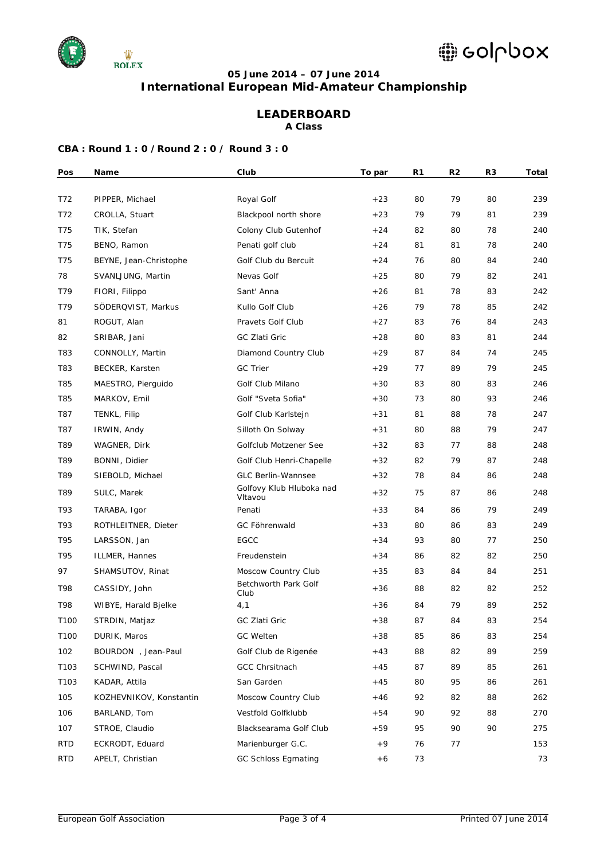

### **05 June 2014 – 07 June 2014**

**International European Mid-Amateur Championship**

# **LEADERBOARD**

**A Class**

| Pos              | Name                    | Club                                | To par | R1 | R <sub>2</sub> | R <sub>3</sub> | Total |
|------------------|-------------------------|-------------------------------------|--------|----|----------------|----------------|-------|
|                  |                         |                                     |        |    |                |                |       |
| T72              | PIPPER, Michael         | Royal Golf                          | $+23$  | 80 | 79             | 80             | 239   |
| T72              | CROLLA, Stuart          | Blackpool north shore               | $+23$  | 79 | 79             | 81             | 239   |
| T75              | TIK, Stefan             | Colony Club Gutenhof                | $+24$  | 82 | 80             | 78             | 240   |
| T75              | BENO, Ramon             | Penati golf club                    | $+24$  | 81 | 81             | 78             | 240   |
| T75              | BEYNE, Jean-Christophe  | Golf Club du Bercuit                | $+24$  | 76 | 80             | 84             | 240   |
| 78               | SVANLJUNG, Martin       | Nevas Golf                          | $+25$  | 80 | 79             | 82             | 241   |
| T79              | FIORI, Filippo          | Sant' Anna                          | $+26$  | 81 | 78             | 83             | 242   |
| T79              | SÖDERQVIST, Markus      | Kullo Golf Club                     | $+26$  | 79 | 78             | 85             | 242   |
| 81               | ROGUT, Alan             | Pravets Golf Club                   | $+27$  | 83 | 76             | 84             | 243   |
| 82               | SRIBAR, Jani            | GC Zlati Gric                       | $+28$  | 80 | 83             | 81             | 244   |
| T83              | CONNOLLY, Martin        | Diamond Country Club                | $+29$  | 87 | 84             | 74             | 245   |
| T83              | BECKER, Karsten         | <b>GC Trier</b>                     | $+29$  | 77 | 89             | 79             | 245   |
| T85              | MAESTRO, Pierguido      | Golf Club Milano                    | $+30$  | 83 | 80             | 83             | 246   |
| T85              | MARKOV, Emil            | Golf "Sveta Sofia"                  | $+30$  | 73 | 80             | 93             | 246   |
| T87              | TENKL, Filip            | Golf Club Karlstejn                 | $+31$  | 81 | 88             | 78             | 247   |
| T87              | IRWIN, Andy             | Silloth On Solway                   | $+31$  | 80 | 88             | 79             | 247   |
| T89              | WAGNER, Dirk            | Golfclub Motzener See               | $+32$  | 83 | 77             | 88             | 248   |
| T89              | BONNI, Didier           | Golf Club Henri-Chapelle            | $+32$  | 82 | 79             | 87             | 248   |
| T89              | SIEBOLD, Michael        | <b>GLC Berlin-Wannsee</b>           | $+32$  | 78 | 84             | 86             | 248   |
| T89              | SULC, Marek             | Golfovy Klub Hluboka nad<br>Vltavou | $+32$  | 75 | 87             | 86             | 248   |
| T93              | TARABA, Igor            | Penati                              | $+33$  | 84 | 86             | 79             | 249   |
| T93              | ROTHLEITNER, Dieter     | GC Föhrenwald                       | $+33$  | 80 | 86             | 83             | 249   |
| T95              | LARSSON, Jan            | EGCC                                | $+34$  | 93 | 80             | 77             | 250   |
| T95              | ILLMER, Hannes          | Freudenstein                        | $+34$  | 86 | 82             | 82             | 250   |
| 97               | SHAMSUTOV, Rinat        | Moscow Country Club                 | $+35$  | 83 | 84             | 84             | 251   |
| T98              | CASSIDY, John           | Betchworth Park Golf<br>Club        | $+36$  | 88 | 82             | 82             | 252   |
| T98              | WIBYE, Harald Bjelke    | 4,1                                 | $+36$  | 84 | 79             | 89             | 252   |
| T100             | STRDIN, Matjaz          | GC Zlati Gric                       | $+38$  | 87 | 84             | 83             | 254   |
| T100             | DURIK, Maros            | GC Welten                           | $+38$  | 85 | 86             | 83             | 254   |
| 102              | BOURDON , Jean-Paul     | Golf Club de Rigenée                | $+43$  | 88 | 82             | 89             | 259   |
| T <sub>103</sub> | SCHWIND, Pascal         | GCC Chrsitnach                      | $+45$  | 87 | 89             | 85             | 261   |
| T <sub>103</sub> | KADAR, Attila           | San Garden                          | $+45$  | 80 | 95             | 86             | 261   |
| 105              | KOZHEVNIKOV, Konstantin | Moscow Country Club                 | $+46$  | 92 | 82             | 88             | 262   |
| 106              | BARLAND, Tom            | Vestfold Golfklubb                  | $+54$  | 90 | 92             | 88             | 270   |
| 107              | STROE, Claudio          | Blacksearama Golf Club              | $+59$  | 95 | 90             | 90             | 275   |
| <b>RTD</b>       | ECKRODT, Eduard         | Marienburger G.C.                   | $+9$   | 76 | 77             |                | 153   |
| <b>RTD</b>       | APELT, Christian        | <b>GC Schloss Egmating</b>          | $+6$   | 73 |                |                | 73    |